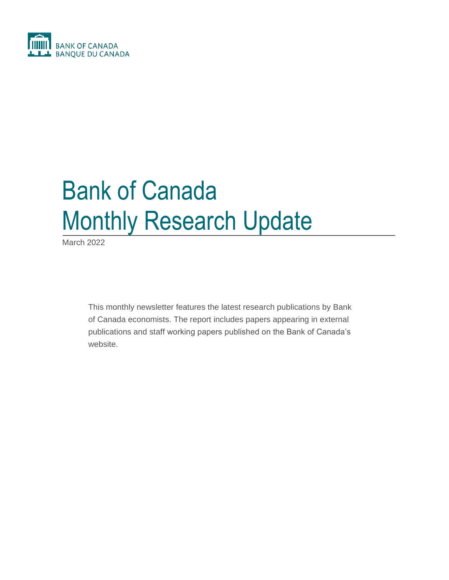

# Bank of Canada Monthly Research Update

March 2022

This monthly newsletter features the latest research publications by Bank of Canada economists. The report includes papers appearing in external publications and staff working papers published on the Bank of Canada's website.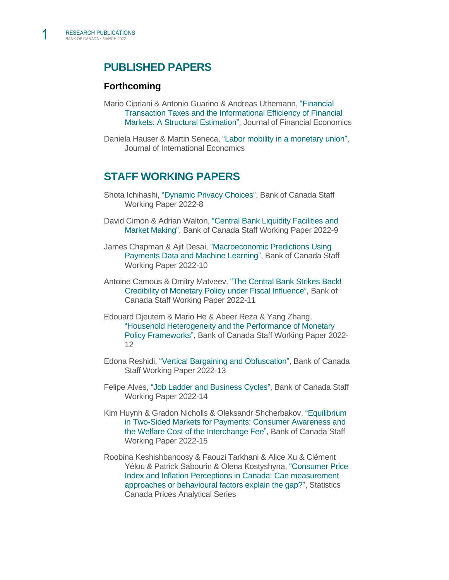1

# **PUBLISHED PAPERS**

## **Forthcoming**

Mario Cipriani & Antonio Guarino & Andreas Uthemann, ["Financial](https://www.newyorkfed.org/research/staff_reports/sr993)  [Transaction Taxes and the Informational Efficiency of Financial](https://www.newyorkfed.org/research/staff_reports/sr993)  [Markets: A Structural Estimation",](https://www.newyorkfed.org/research/staff_reports/sr993) Journal of Financial Economics

Daniela Hauser & Martin Seneca, ["Labor mobility in a monetary union",](https://www.sciencedirect.com/science/article/pii/S0022199622000320?dgcid=coauthor#!) Journal of International Economics

# **STAFF WORKING PAPERS**

- Shota Ichihashi, ["Dynamic Privacy Choices",](https://www.bankofcanada.ca/2022/03/staff-working-paper-2022-8/) Bank of Canada Staff Working Paper 2022-8
- David Cimon & Adrian Walton, ["Central Bank Liquidity Facilities and](https://www.bankofcanada.ca/2022/03/staff-working-paper-2022-9/)  [Market Making",](https://www.bankofcanada.ca/2022/03/staff-working-paper-2022-9/) Bank of Canada Staff Working Paper 2022-9
- James Chapman & Ajit Desai, ["Macroeconomic Predictions Using](https://www.bankofcanada.ca/2022/03/staff-working-paper-2022-10/)  [Payments Data and Machine Learning",](https://www.bankofcanada.ca/2022/03/staff-working-paper-2022-10/) Bank of Canada Staff Working Paper 2022-10
- Antoine Camous & Dmitry Matveev, ["The Central Bank Strikes Back!](https://www.bankofcanada.ca/2022/03/staff-working-paper-2022-11/)  [Credibility of Monetary Policy under Fiscal Influence",](https://www.bankofcanada.ca/2022/03/staff-working-paper-2022-11/) Bank of Canada Staff Working Paper 2022-11
- Edouard Djeutem & Mario He & Abeer Reza & Yang Zhang[,](https://www.bankofcanada.ca/2022/03/staff-working-paper-2022-12/) ["Household Heterogeneity and the Performance of Monetary](https://www.bankofcanada.ca/2022/03/staff-working-paper-2022-12/)  [Policy Frameworks",](https://www.bankofcanada.ca/2022/03/staff-working-paper-2022-12/) Bank of Canada Staff Working Paper 2022- 12
- Edona Reshidi, ["Vertical Bargaining and Obfuscation",](https://www.bankofcanada.ca/2022/03/staff-working-paper-2022-13/) Bank of Canada Staff Working Paper 2022-13
- Felipe Alves, ["Job Ladder and Business Cycles",](https://www.bankofcanada.ca/2022/03/staff-working-paper-2022-14/) Bank of Canada Staff Working Paper 2022-14
- Kim Huynh & Gradon Nicholls & Oleksandr Shcherbakov, ["Equilibrium](https://www.bankofcanada.ca/2022/03/staff-working-paper-2022-15/)  [in Two-Sided Markets for Payments: Consumer Awareness and](https://www.bankofcanada.ca/2022/03/staff-working-paper-2022-15/)  [the Welfare Cost of the Interchange Fee",](https://www.bankofcanada.ca/2022/03/staff-working-paper-2022-15/) Bank of Canada Staff Working Paper 2022-15
- Roobina Keshishbanoosy & Faouzi Tarkhani & Alice Xu & Clément Yélou & Patrick Sabourin & Olena Kostyshyna, ["Consumer Price](https://www150.statcan.gc.ca/n1/pub/62f0014m/62f0014m2021017-eng.htm)  [Index and Inflation Perceptions in Canada: Can measurement](https://www150.statcan.gc.ca/n1/pub/62f0014m/62f0014m2021017-eng.htm)  [approaches or behavioural factors explain the gap?",](https://www150.statcan.gc.ca/n1/pub/62f0014m/62f0014m2021017-eng.htm) Statistics Canada Prices Analytical Series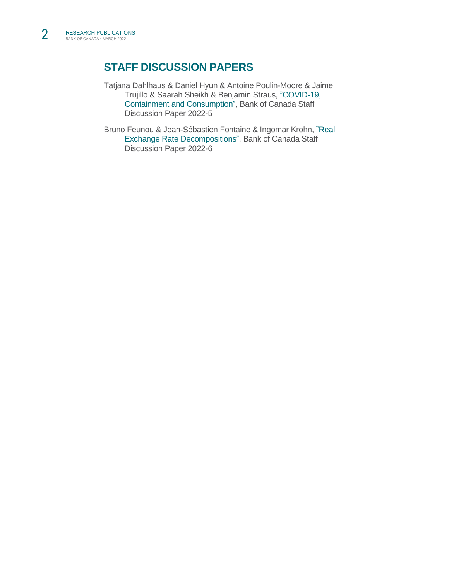# **STAFF DISCUSSION PAPERS**

- Tatjana Dahlhaus & Daniel Hyun & Antoine Poulin-Moore & Jaime Trujillo & Saarah Sheikh & Benjamin Straus, ["COVID-19,](https://www.bankofcanada.ca/2022/03/staff-discussion-paper-2022-5/)  [Containment and Consumption",](https://www.bankofcanada.ca/2022/03/staff-discussion-paper-2022-5/) Bank of Canada Staff Discussion Paper 2022-5
- Bruno Feunou & Jean-Sébastien Fontaine & Ingomar Krohn, ["Real](https://www.bankofcanada.ca/2022/03/staff-discussion-paper-2022-6/)  [Exchange Rate Decompositions",](https://www.bankofcanada.ca/2022/03/staff-discussion-paper-2022-6/) Bank of Canada Staff Discussion Paper 2022-6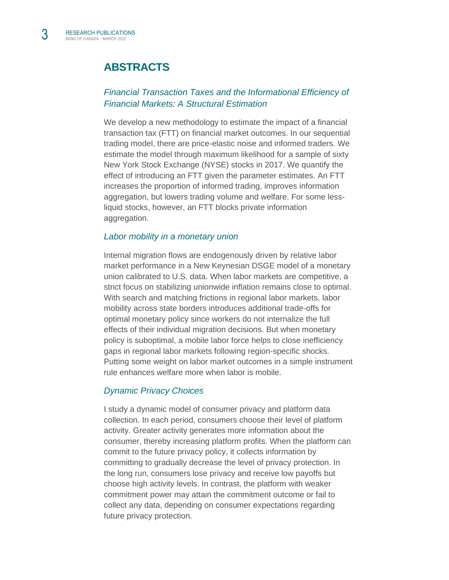3

# **ABSTRACTS**

# *[Financial Transaction Taxes and the Informational Efficiency of](https://www.newyorkfed.org/research/staff_reports/sr993)  [Financial Markets: A Structural Estimation](https://www.newyorkfed.org/research/staff_reports/sr993)*

We develop a new methodology to estimate the impact of a financial transaction tax (FTT) on financial market outcomes. In our sequential trading model, there are price-elastic noise and informed traders. We estimate the model through maximum likelihood for a sample of sixty New York Stock Exchange (NYSE) stocks in 2017. We quantify the effect of introducing an FTT given the parameter estimates. An FTT increases the proportion of informed trading, improves information aggregation, but lowers trading volume and welfare. For some lessliquid stocks, however, an FTT blocks private information aggregation.

#### *[Labor mobility in a monetary union](https://www.sciencedirect.com/science/article/pii/S0022199622000320?dgcid=coauthor#!)*

Internal migration flows are endogenously driven by relative labor market performance in a New Keynesian DSGE model of a monetary union calibrated to U.S. data. When labor markets are competitive, a strict focus on stabilizing unionwide inflation remains close to optimal. With search and matching frictions in regional labor markets, labor mobility across state borders introduces additional trade-offs for optimal monetary policy since workers do not internalize the full effects of their individual migration decisions. But when monetary policy is suboptimal, a mobile labor force helps to close inefficiency gaps in regional labor markets following region-specific shocks. Putting some weight on labor market outcomes in a simple instrument rule enhances welfare more when labor is mobile.

#### *[Dynamic Privacy Choices](https://www.bankofcanada.ca/2022/03/staff-working-paper-2022-8/)*

I study a dynamic model of consumer privacy and platform data collection. In each period, consumers choose their level of platform activity. Greater activity generates more information about the consumer, thereby increasing platform profits. When the platform can commit to the future privacy policy, it collects information by committing to gradually decrease the level of privacy protection. In the long run, consumers lose privacy and receive low payoffs but choose high activity levels. In contrast, the platform with weaker commitment power may attain the commitment outcome or fail to collect any data, depending on consumer expectations regarding future privacy protection.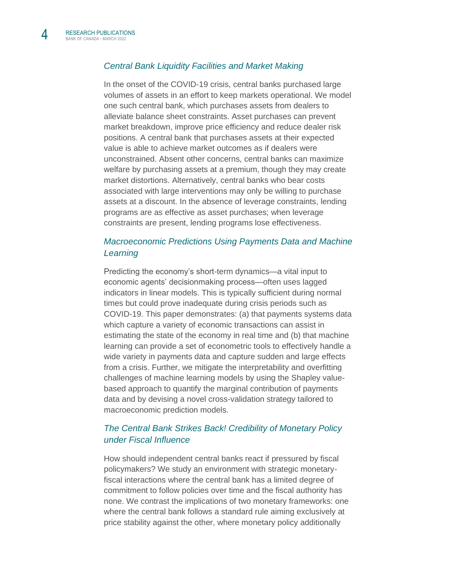

#### *[Central Bank Liquidity Facilities and Market Making](https://www.bankofcanada.ca/2022/03/staff-working-paper-2022-9/)*

In the onset of the COVID-19 crisis, central banks purchased large volumes of assets in an effort to keep markets operational. We model one such central bank, which purchases assets from dealers to alleviate balance sheet constraints. Asset purchases can prevent market breakdown, improve price efficiency and reduce dealer risk positions. A central bank that purchases assets at their expected value is able to achieve market outcomes as if dealers were unconstrained. Absent other concerns, central banks can maximize welfare by purchasing assets at a premium, though they may create market distortions. Alternatively, central banks who bear costs associated with large interventions may only be willing to purchase assets at a discount. In the absence of leverage constraints, lending programs are as effective as asset purchases; when leverage constraints are present, lending programs lose effectiveness.

## *[Macroeconomic Predictions Using Payments Data and Machine](https://www.bankofcanada.ca/2022/03/staff-working-paper-2022-10/)  [Learning](https://www.bankofcanada.ca/2022/03/staff-working-paper-2022-10/)*

Predicting the economy's short-term dynamics—a vital input to economic agents' decisionmaking process—often uses lagged indicators in linear models. This is typically sufficient during normal times but could prove inadequate during crisis periods such as COVID-19. This paper demonstrates: (a) that payments systems data which capture a variety of economic transactions can assist in estimating the state of the economy in real time and (b) that machine learning can provide a set of econometric tools to effectively handle a wide variety in payments data and capture sudden and large effects from a crisis. Further, we mitigate the interpretability and overfitting challenges of machine learning models by using the Shapley valuebased approach to quantify the marginal contribution of payments data and by devising a novel cross-validation strategy tailored to macroeconomic prediction models.

### *[The Central Bank Strikes Back! Credibility of Monetary Policy](https://www.bankofcanada.ca/2022/03/staff-working-paper-2022-11/)  [under Fiscal Influence](https://www.bankofcanada.ca/2022/03/staff-working-paper-2022-11/)*

How should independent central banks react if pressured by fiscal policymakers? We study an environment with strategic monetaryfiscal interactions where the central bank has a limited degree of commitment to follow policies over time and the fiscal authority has none. We contrast the implications of two monetary frameworks: one where the central bank follows a standard rule aiming exclusively at price stability against the other, where monetary policy additionally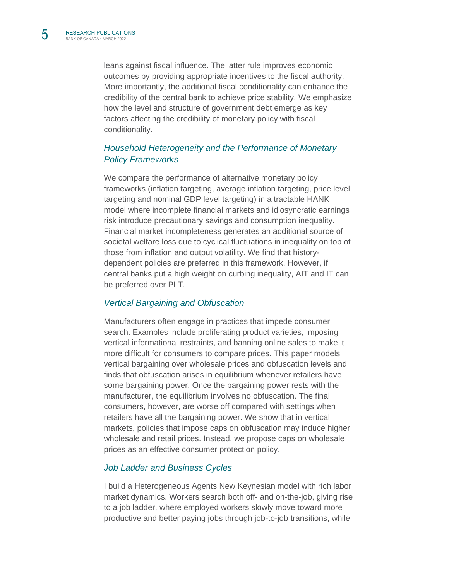leans against fiscal influence. The latter rule improves economic outcomes by providing appropriate incentives to the fiscal authority. More importantly, the additional fiscal conditionality can enhance the credibility of the central bank to achieve price stability. We emphasize how the level and structure of government debt emerge as key factors affecting the credibility of monetary policy with fiscal conditionality.

## *[Household Heterogeneity and the Performance of Monetary](https://www.bankofcanada.ca/2022/03/staff-working-paper-2022-12/)  [Policy Frameworks](https://www.bankofcanada.ca/2022/03/staff-working-paper-2022-12/)*

We compare the performance of alternative monetary policy frameworks (inflation targeting, average inflation targeting, price level targeting and nominal GDP level targeting) in a tractable HANK model where incomplete financial markets and idiosyncratic earnings risk introduce precautionary savings and consumption inequality. Financial market incompleteness generates an additional source of societal welfare loss due to cyclical fluctuations in inequality on top of those from inflation and output volatility. We find that historydependent policies are preferred in this framework. However, if central banks put a high weight on curbing inequality, AIT and IT can be preferred over PLT.

#### *[Vertical Bargaining and Obfuscation](https://www.bankofcanada.ca/2022/03/staff-working-paper-2022-13/)*

Manufacturers often engage in practices that impede consumer search. Examples include proliferating product varieties, imposing vertical informational restraints, and banning online sales to make it more difficult for consumers to compare prices. This paper models vertical bargaining over wholesale prices and obfuscation levels and finds that obfuscation arises in equilibrium whenever retailers have some bargaining power. Once the bargaining power rests with the manufacturer, the equilibrium involves no obfuscation. The final consumers, however, are worse off compared with settings when retailers have all the bargaining power. We show that in vertical markets, policies that impose caps on obfuscation may induce higher wholesale and retail prices. Instead, we propose caps on wholesale prices as an effective consumer protection policy.

#### *[Job Ladder and Business Cycles](https://www.bankofcanada.ca/2022/03/staff-working-paper-2022-14/)*

I build a Heterogeneous Agents New Keynesian model with rich labor market dynamics. Workers search both off- and on-the-job, giving rise to a job ladder, where employed workers slowly move toward more productive and better paying jobs through job-to-job transitions, while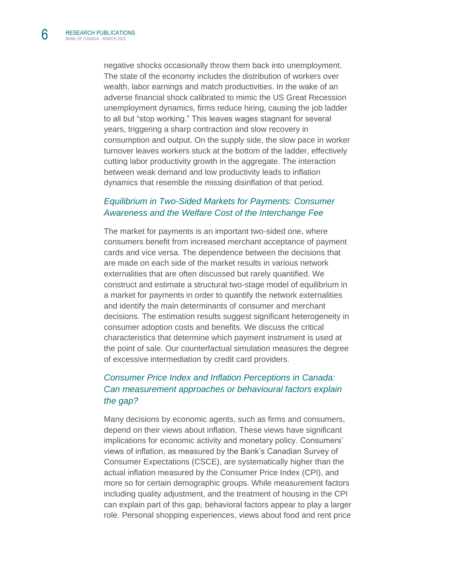6

negative shocks occasionally throw them back into unemployment. The state of the economy includes the distribution of workers over wealth, labor earnings and match productivities. In the wake of an adverse financial shock calibrated to mimic the US Great Recession unemployment dynamics, firms reduce hiring, causing the job ladder to all but "stop working." This leaves wages stagnant for several years, triggering a sharp contraction and slow recovery in consumption and output. On the supply side, the slow pace in worker turnover leaves workers stuck at the bottom of the ladder, effectively cutting labor productivity growth in the aggregate. The interaction between weak demand and low productivity leads to inflation dynamics that resemble the missing disinflation of that period.

### *[Equilibrium in Two-Sided Markets for Payments: Consumer](https://www.bankofcanada.ca/2022/03/staff-working-paper-2022-15/)  [Awareness and the Welfare Cost of the Interchange Fee](https://www.bankofcanada.ca/2022/03/staff-working-paper-2022-15/)*

The market for payments is an important two-sided one, where consumers benefit from increased merchant acceptance of payment cards and vice versa. The dependence between the decisions that are made on each side of the market results in various network externalities that are often discussed but rarely quantified. We construct and estimate a structural two-stage model of equilibrium in a market for payments in order to quantify the network externalities and identify the main determinants of consumer and merchant decisions. The estimation results suggest significant heterogeneity in consumer adoption costs and benefits. We discuss the critical characteristics that determine which payment instrument is used at the point of sale. Our counterfactual simulation measures the degree of excessive intermediation by credit card providers.

## *[Consumer Price Index and Inflation Perceptions in Canada:](https://www150.statcan.gc.ca/n1/pub/62f0014m/62f0014m2021017-eng.htm)  [Can measurement approaches or behavioural factors explain](https://www150.statcan.gc.ca/n1/pub/62f0014m/62f0014m2021017-eng.htm)  [the gap?](https://www150.statcan.gc.ca/n1/pub/62f0014m/62f0014m2021017-eng.htm)*

Many decisions by economic agents, such as firms and consumers, depend on their views about inflation. These views have significant implications for economic activity and monetary policy. Consumers' views of inflation, as measured by the Bank's Canadian Survey of Consumer Expectations (CSCE), are systematically higher than the actual inflation measured by the Consumer Price Index (CPI), and more so for certain demographic groups. While measurement factors including quality adjustment, and the treatment of housing in the CPI can explain part of this gap, behavioral factors appear to play a larger role. Personal shopping experiences, views about food and rent price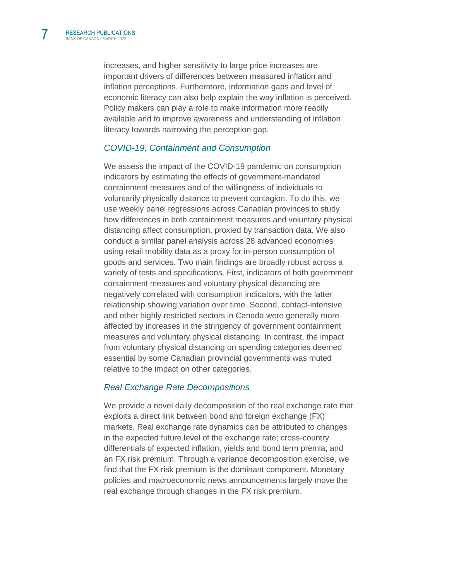increases, and higher sensitivity to large price increases are important drivers of differences between measured inflation and inflation perceptions. Furthermore, information gaps and level of economic literacy can also help explain the way inflation is perceived. Policy makers can play a role to make information more readily available and to improve awareness and understanding of inflation literacy towards narrowing the perception gap.

#### *[COVID-19, Containment and Consumption](https://www.bankofcanada.ca/2022/03/staff-discussion-paper-2022-5/)*

We assess the impact of the COVID-19 pandemic on consumption indicators by estimating the effects of government-mandated containment measures and of the willingness of individuals to voluntarily physically distance to prevent contagion. To do this, we use weekly panel regressions across Canadian provinces to study how differences in both containment measures and voluntary physical distancing affect consumption, proxied by transaction data. We also conduct a similar panel analysis across 28 advanced economies using retail mobility data as a proxy for in-person consumption of goods and services. Two main findings are broadly robust across a variety of tests and specifications. First, indicators of both government containment measures and voluntary physical distancing are negatively correlated with consumption indicators, with the latter relationship showing variation over time. Second, contact-intensive and other highly restricted sectors in Canada were generally more affected by increases in the stringency of government containment measures and voluntary physical distancing. In contrast, the impact from voluntary physical distancing on spending categories deemed essential by some Canadian provincial governments was muted relative to the impact on other categories.

#### *[Real Exchange Rate Decompositions](https://www.bankofcanada.ca/2022/03/staff-discussion-paper-2022-6/)*

We provide a novel daily decomposition of the real exchange rate that exploits a direct link between bond and foreign exchange (FX) markets. Real exchange rate dynamics can be attributed to changes in the expected future level of the exchange rate; cross-country differentials of expected inflation, yields and bond term premia; and an FX risk premium. Through a variance decomposition exercise, we find that the FX risk premium is the dominant component. Monetary policies and macroeconomic news announcements largely move the real exchange through changes in the FX risk premium.